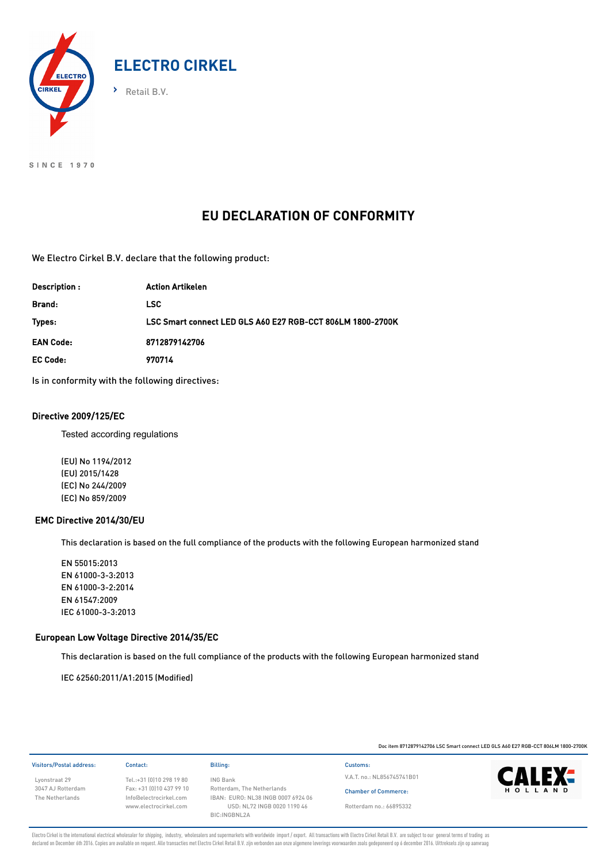

SINCE 1970

# **EU DECLARATION OF CONFORMITY**

We Electro Cirkel B.V. declare that the following product:

| Description :    | <b>Action Artikelen</b>                                    |
|------------------|------------------------------------------------------------|
| Brand:           | LSC.                                                       |
| Types:           | LSC Smart connect LED GLS A60 E27 RGB-CCT 806LM 1800-2700K |
| <b>EAN Code:</b> | 8712879142706                                              |
| <b>EC Code:</b>  | 970714                                                     |
|                  |                                                            |

Is in conformity with the following directives:

## Directive 2009/125/EC

Tested according regulations

(EU) No 1194/2012 (EU) 2015/1428 (EC) No 244/2009 (EC) No 859/2009

#### EMC Directive 2014/30/EU

This declaration is based on the full compliance of the products with the following European harmonized stand

EN 55015:2013 EN 61000-3-3:2013 EN 61000-3-2:2014 EN 61547:2009 IEC 61000-3-3:2013

## European Low Voltage Directive 2014/35/EC

This declaration is based on the full compliance of the products with the following European harmonized stand

IEC 62560:2011/A1:2015 (Modified)

Doc item 8712879142706 LSC Smart connect LED GLS A60 E27 RGB-CCT 806LM 1800-2700K

| Visitors/Postal address: | Contact:                  | Billing:                           | Customs:    |  |
|--------------------------|---------------------------|------------------------------------|-------------|--|
| Lyonstraat 29            | Tel.:+31 (0)10 298 19 80  | <b>ING Bank</b>                    | V.A.T. no.: |  |
| 3047 AJ Rotterdam        | Fax: +31 (0) 10 437 99 10 | Rotterdam, The Netherlands         | Chamber     |  |
| The Netherlands          | Info@electrocirkel.com    | IBAN: EURO: NL38 INGB 0007 6924 06 |             |  |
|                          | www.electrocirkel.com     | USD: NL72 INGB 0020 1190 46        | Rotterdam   |  |
|                          |                           | <b>DIC-INICDNII 2A</b>             |             |  |

erlands IGB 0007 6924 06 B: 0020 1190 46 BIC:INGBNL2A

V.A.T. no.: NL856745741B01

Chamber of Commerce: Rotterdam no.: 66895332



Electro Cirkel is the international electrical wholesaler for shipping, industry, wholesalers and supermarkets with worldwide import / export. All transactions with Electro Cirkel Retail B.V. are subject to our general ter declared on December 6th 2016. Copies are available on request. Alle transacties met Electro Cirkel Retail B.V. zijn verbonden aan onze algemene leverings voorwaarden zoals gedeponeerd op 6 december 2016. Uittreksels zijn